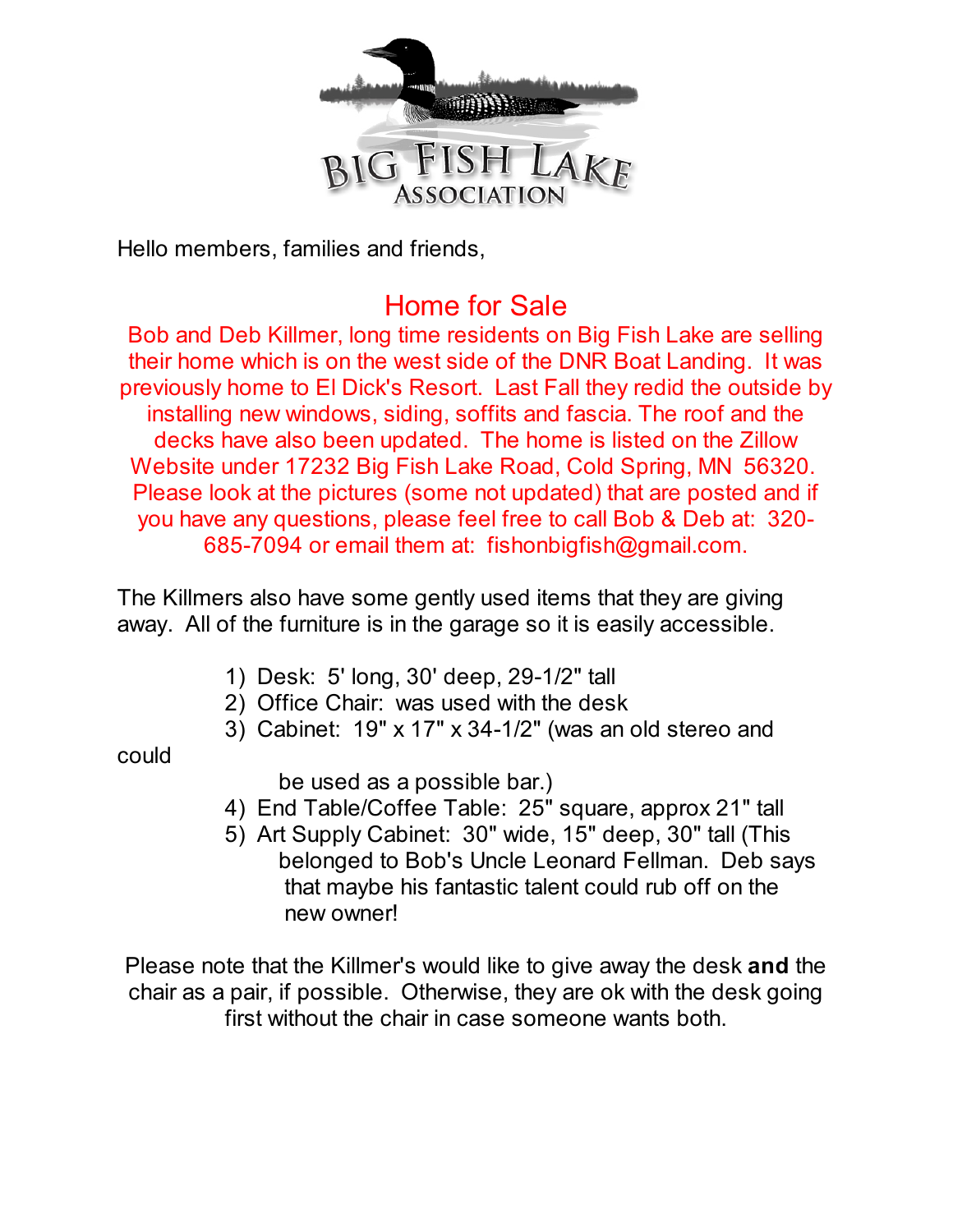

Hello members, families and friends,

# Home for Sale

Bob and Deb Killmer, long time residents on Big Fish Lake are selling their home which is on the west side of the DNR Boat Landing. It was previously home to El Dick's Resort. Last Fall they redid the outside by installing new windows, siding, soffits and fascia. The roof and the decks have also been updated. The home is listed on the Zillow Website under 17232 Big Fish Lake Road, Cold Spring, MN 56320. Please look at the pictures (some not updated) that are posted and if you have any questions, please feel free to call Bob & Deb at: 320- 685-7094 or email them at: fishonbigfish@gmail.com.

The Killmers also have some gently used items that they are giving away. All of the furniture is in the garage so it is easily accessible.

- 1) Desk: 5' long, 30' deep, 29-1/2" tall
- 2) Office Chair: was used with the desk
- 3) Cabinet: 19" x 17" x 34-1/2" (was an old stereo and

could

be used as a possible bar.)

- 4) End Table/Coffee Table: 25" square, approx 21" tall
- 5) Art Supply Cabinet: 30" wide, 15" deep, 30" tall (This belonged to Bob's Uncle Leonard Fellman. Deb says that maybe his fantastic talent could rub off on the new owner!

Please note that the Killmer's would like to give away the desk **and** the chair as a pair, if possible. Otherwise, they are ok with the desk going first without the chair in case someone wants both.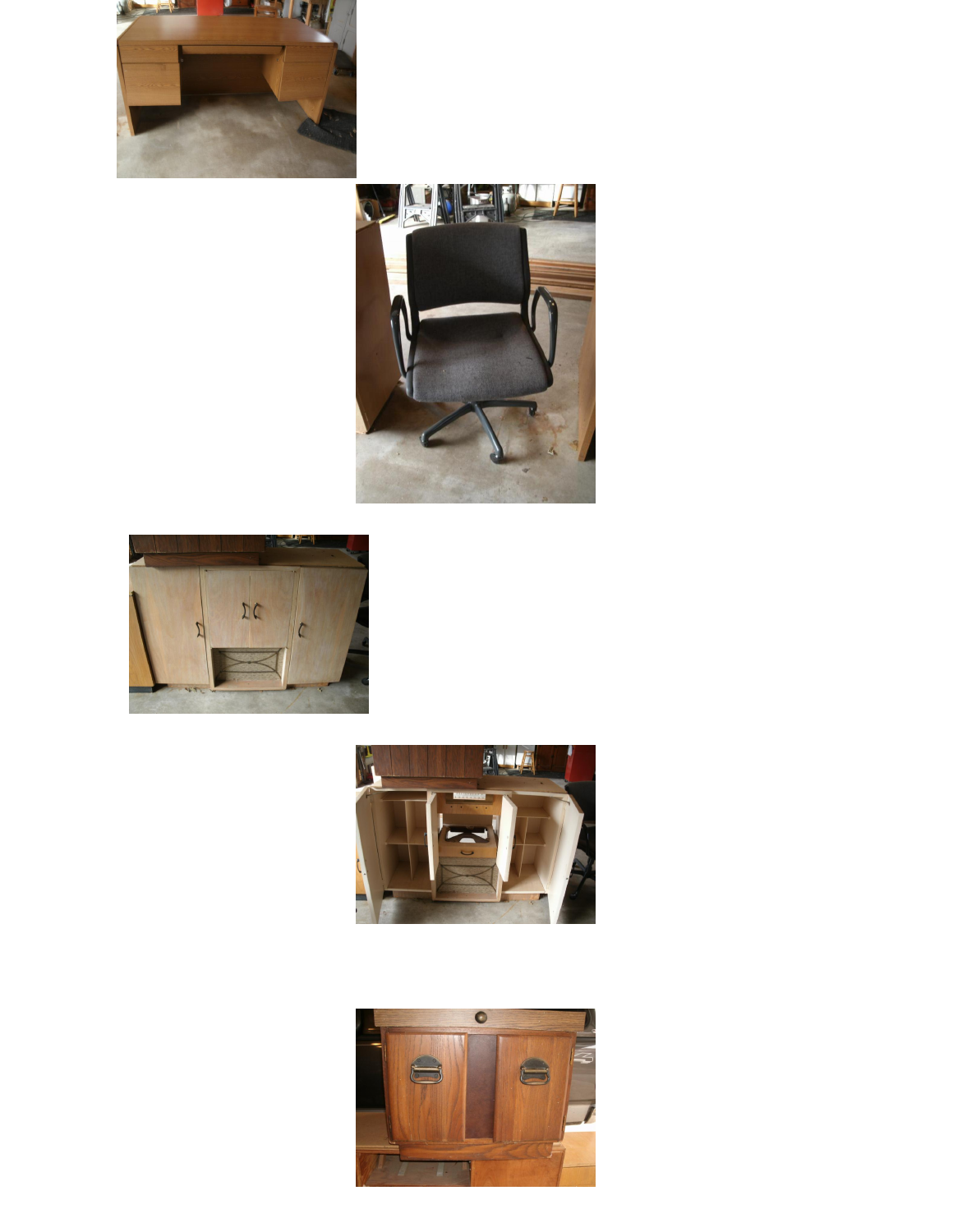







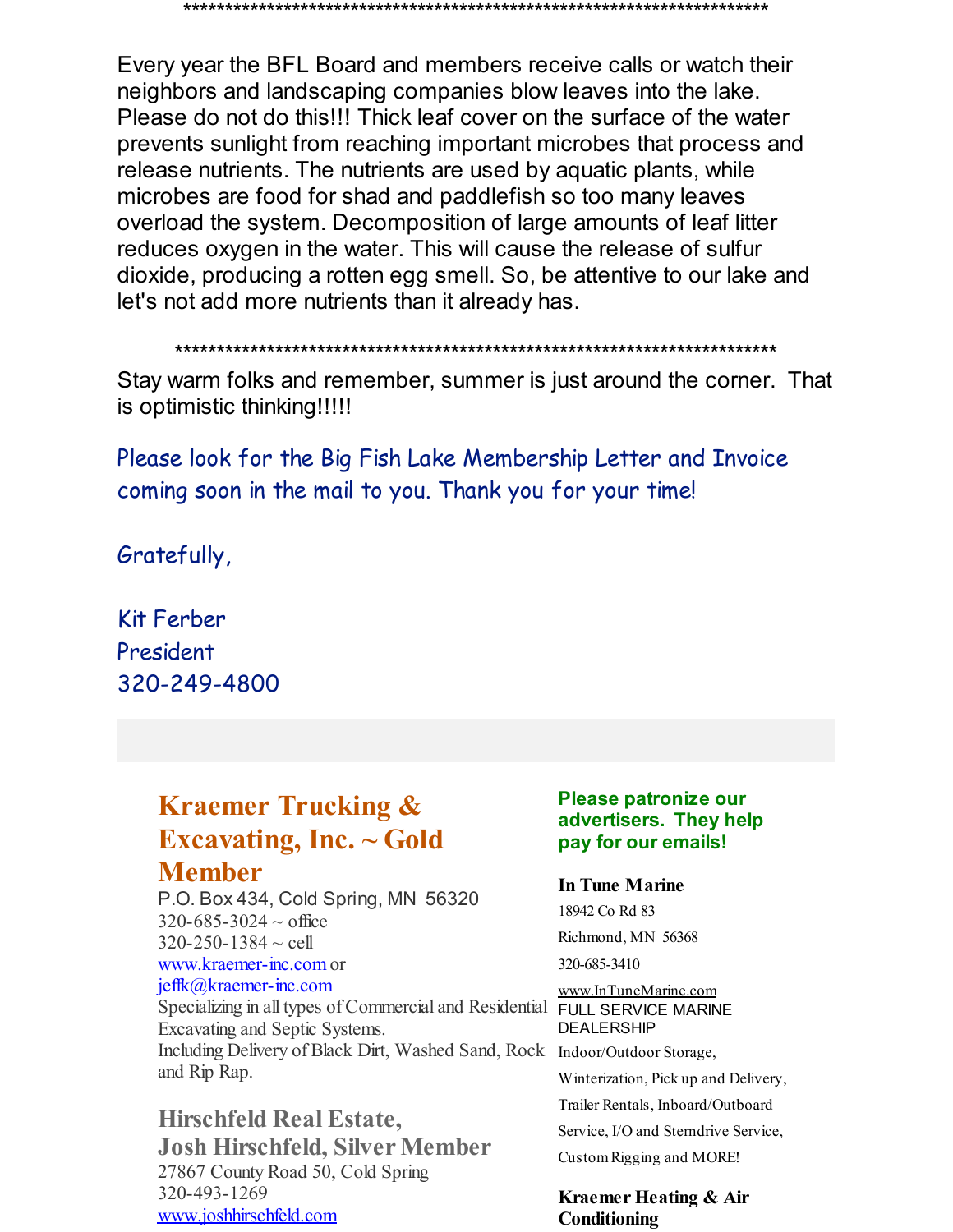Every year the BFL Board and members receive calls or watch their neighbors and landscaping companies blow leaves into the lake. Please do not do this!!! Thick leaf cover on the surface of the water prevents sunlight from reaching important microbes that process and release nutrients. The nutrients are used by aquatic plants, while microbes are food for shad and paddlefish so too many leaves overload the system. Decomposition of large amounts of leaf litter reduces oxygen in the water. This will cause the release of sulfur dioxide, producing a rotten egg smell. So, be attentive to our lake and let's not add more nutrients than it already has.

### 

Stay warm folks and remember, summer is just around the corner. That is optimistic thinking!!!!!

Please look for the Big Fish Lake Membership Letter and Invoice coming soon in the mail to you. Thank you for your time!

Gratefully,

Kit Ferber President 320-249-4800

# **Kraemer Trucking &** Excavating, Inc.  $\sim$  Gold **Member**

P.O. Box 434, Cold Spring, MN 56320 320-685-3024  $\sim$  office  $320 - 250 - 1384 \sim$  cell www.kraemer-inc.com or  $j$ effk $@$ kraemer-inc.com

Specializing in all types of Commercial and Residential FULL SERVICE MARINE Excavating and Septic Systems. Including Delivery of Black Dirt, Washed Sand, Rock Indoor/Outdoor Storage, and Rip Rap.

# Hirschfeld Real Estate,

**Josh Hirschfeld, Silver Member** 27867 County Road 50, Cold Spring 320-493-1269 www.joshhirschfeld.com

# **Please patronize our** advertisers. They help pay for our emails!

# **In Tune Marine**

18942 Co Rd 83

Richmond, MN 56368

320-685-3410

# www.InTuneMarine.com **DEALERSHIP**

Winterization, Pick up and Delivery,

Trailer Rentals, Inboard/Outboard

Service, I/O and Sterndrive Service,

Custom Rigging and MORE!

# **Kraemer Heating & Air** Conditioning